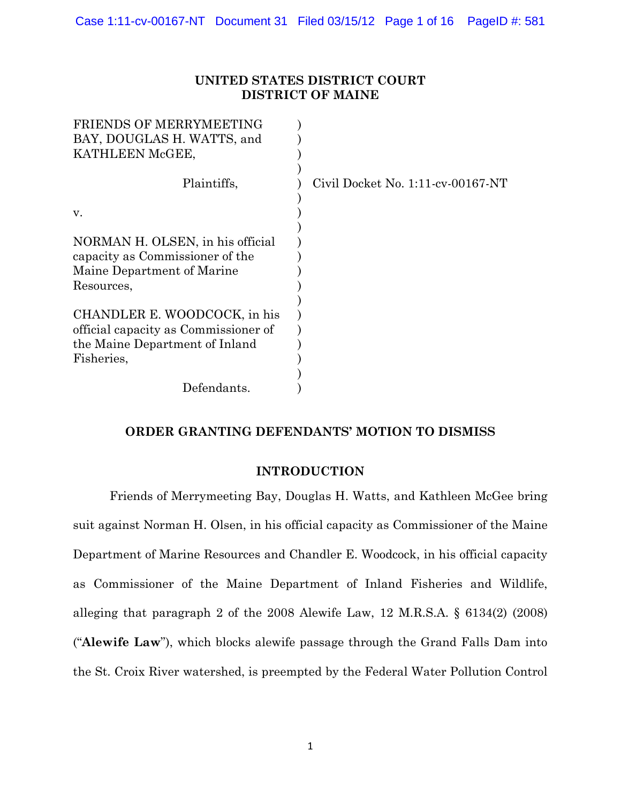## **UNITED STATES DISTRICT COURT DISTRICT OF MAINE**

| Civil Docket No. $1:11$ -cv-00167-NT |
|--------------------------------------|
|                                      |
|                                      |
|                                      |
|                                      |
|                                      |
|                                      |
|                                      |
|                                      |
|                                      |
|                                      |
|                                      |

# **ORDER GRANTING DEFENDANTS' MOTION TO DISMISS**

## **INTRODUCTION**

Friends of Merrymeeting Bay, Douglas H. Watts, and Kathleen McGee bring suit against Norman H. Olsen, in his official capacity as Commissioner of the Maine Department of Marine Resources and Chandler E. Woodcock, in his official capacity as Commissioner of the Maine Department of Inland Fisheries and Wildlife, alleging that paragraph 2 of the 2008 Alewife Law, 12 M.R.S.A. § 6134(2) (2008) ("**Alewife Law**"), which blocks alewife passage through the Grand Falls Dam into the St. Croix River watershed, is preempted by the Federal Water Pollution Control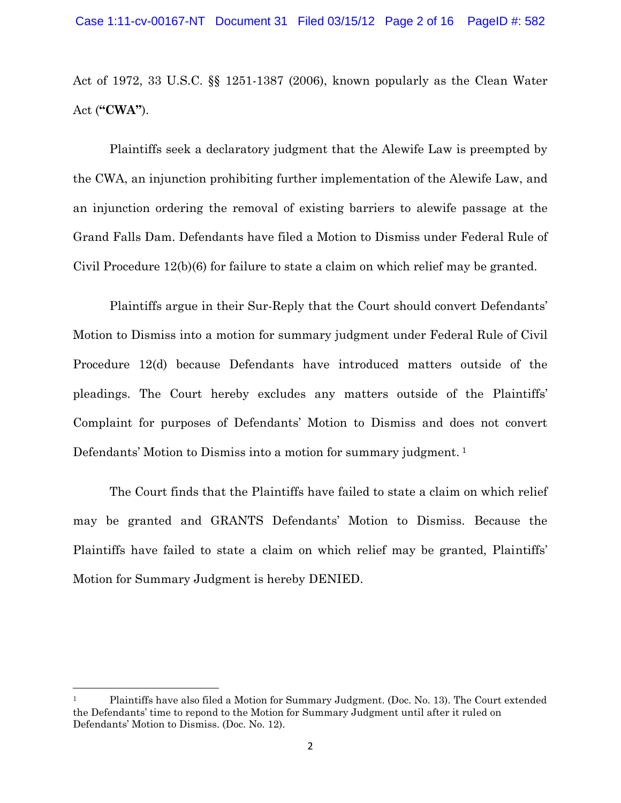Act of 1972, 33 U.S.C. §§ 1251-1387 (2006), known popularly as the Clean Water Act (**"CWA"**).

Plaintiffs seek a declaratory judgment that the Alewife Law is preempted by the CWA, an injunction prohibiting further implementation of the Alewife Law, and an injunction ordering the removal of existing barriers to alewife passage at the Grand Falls Dam. Defendants have filed a Motion to Dismiss under Federal Rule of Civil Procedure 12(b)(6) for failure to state a claim on which relief may be granted.

Plaintiffs argue in their Sur-Reply that the Court should convert Defendants' Motion to Dismiss into a motion for summary judgment under Federal Rule of Civil Procedure 12(d) because Defendants have introduced matters outside of the pleadings. The Court hereby excludes any matters outside of the Plaintiffs' Complaint for purposes of Defendants' Motion to Dismiss and does not convert Defendants' Motion to Dismiss into a motion for summary judgment.<sup>1</sup>

The Court finds that the Plaintiffs have failed to state a claim on which relief may be granted and GRANTS Defendants' Motion to Dismiss. Because the Plaintiffs have failed to state a claim on which relief may be granted, Plaintiffs' Motion for Summary Judgment is hereby DENIED.

l

<sup>1</sup> Plaintiffs have also filed a Motion for Summary Judgment. (Doc. No. 13). The Court extended the Defendants' time to repond to the Motion for Summary Judgment until after it ruled on Defendants' Motion to Dismiss. (Doc. No. 12).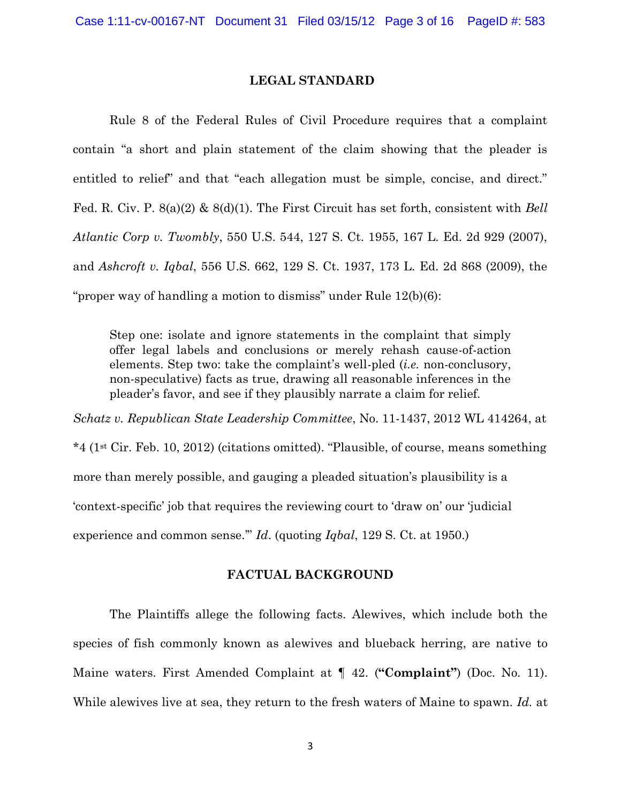#### **LEGAL STANDARD**

Rule 8 of the Federal Rules of Civil Procedure requires that a complaint contain "a short and plain statement of the claim showing that the pleader is entitled to relief" and that "each allegation must be simple, concise, and direct." Fed. R. Civ. P. 8(a)(2) & 8(d)(1). The First Circuit has set forth, consistent with *Bell Atlantic Corp v. Twombly*, 550 U.S. 544, 127 S. Ct. 1955, 167 L. Ed. 2d 929 (2007), and *Ashcroft v. Iqbal*, 556 U.S. 662, 129 S. Ct. 1937, 173 L. Ed. 2d 868 (2009), the "proper way of handling a motion to dismiss" under Rule 12(b)(6):

Step one: isolate and ignore statements in the complaint that simply offer legal labels and conclusions or merely rehash cause-of-action elements. Step two: take the complaint's well-pled (*i.e.* non-conclusory, non-speculative) facts as true, drawing all reasonable inferences in the pleader's favor, and see if they plausibly narrate a claim for relief.

*Schatz v. Republican State Leadership Committee*, No. 11-1437, 2012 WL 414264, at \*4 (1st Cir. Feb. 10, 2012) (citations omitted). "Plausible, of course, means something more than merely possible, and gauging a pleaded situation's plausibility is a 'context-specific' job that requires the reviewing court to 'draw on' our 'judicial experience and common sense.'" *Id*. (quoting *Iqbal*, 129 S. Ct. at 1950.)

### **FACTUAL BACKGROUND**

The Plaintiffs allege the following facts. Alewives, which include both the species of fish commonly known as alewives and blueback herring, are native to Maine waters. First Amended Complaint at ¶ 42. (**"Complaint"**) (Doc. No. 11). While alewives live at sea, they return to the fresh waters of Maine to spawn. *Id.* at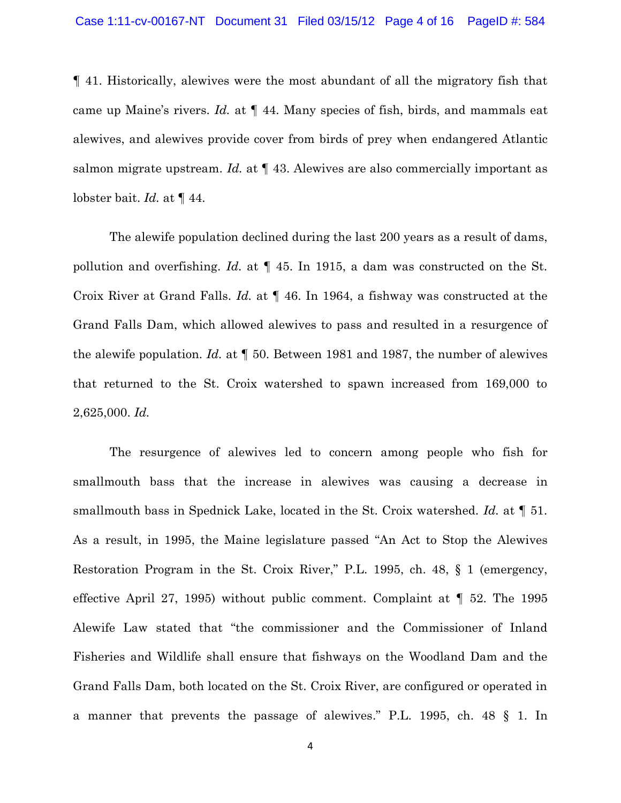¶ 41. Historically, alewives were the most abundant of all the migratory fish that came up Maine's rivers. *Id.* at ¶ 44. Many species of fish, birds, and mammals eat alewives, and alewives provide cover from birds of prey when endangered Atlantic salmon migrate upstream. *Id.* at ¶ 43. Alewives are also commercially important as lobster bait. *Id.* at ¶ 44.

The alewife population declined during the last 200 years as a result of dams, pollution and overfishing. *Id.* at ¶ 45. In 1915, a dam was constructed on the St. Croix River at Grand Falls. *Id.* at ¶ 46. In 1964, a fishway was constructed at the Grand Falls Dam, which allowed alewives to pass and resulted in a resurgence of the alewife population. *Id.* at ¶ 50. Between 1981 and 1987, the number of alewives that returned to the St. Croix watershed to spawn increased from 169,000 to 2,625,000. *Id.*

The resurgence of alewives led to concern among people who fish for smallmouth bass that the increase in alewives was causing a decrease in smallmouth bass in Spednick Lake, located in the St. Croix watershed. *Id.* at ¶ 51. As a result, in 1995, the Maine legislature passed "An Act to Stop the Alewives Restoration Program in the St. Croix River," P.L. 1995, ch. 48, § 1 (emergency, effective April 27, 1995) without public comment. Complaint at ¶ 52. The 1995 Alewife Law stated that "the commissioner and the Commissioner of Inland Fisheries and Wildlife shall ensure that fishways on the Woodland Dam and the Grand Falls Dam, both located on the St. Croix River, are configured or operated in a manner that prevents the passage of alewives." P.L. 1995, ch. 48 § 1. In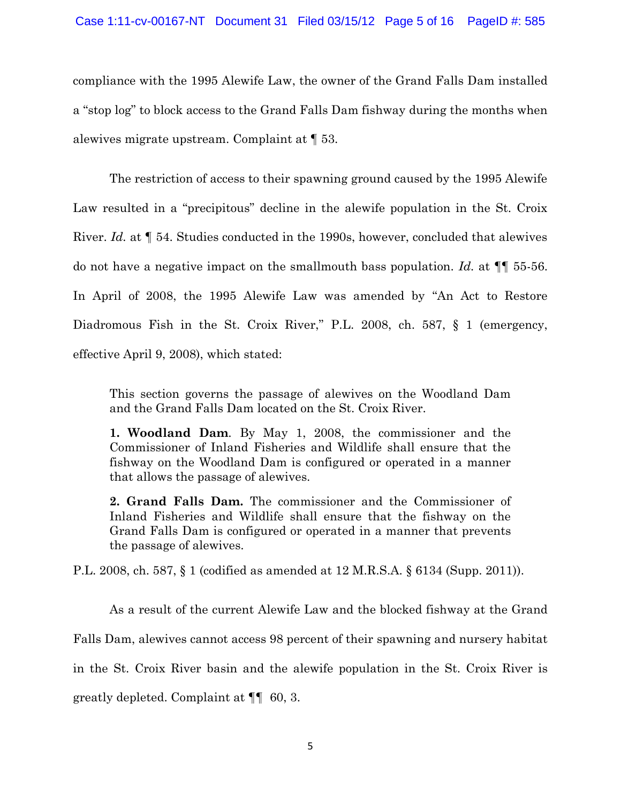compliance with the 1995 Alewife Law, the owner of the Grand Falls Dam installed a "stop log" to block access to the Grand Falls Dam fishway during the months when alewives migrate upstream. Complaint at ¶ 53.

The restriction of access to their spawning ground caused by the 1995 Alewife Law resulted in a "precipitous" decline in the alewife population in the St. Croix River. *Id.* at ¶ 54. Studies conducted in the 1990s, however, concluded that alewives do not have a negative impact on the smallmouth bass population. *Id.* at ¶¶ 55-56. In April of 2008, the 1995 Alewife Law was amended by "An Act to Restore Diadromous Fish in the St. Croix River," P.L. 2008, ch. 587, § 1 (emergency, effective April 9, 2008), which stated:

This section governs the passage of alewives on the Woodland Dam and the Grand Falls Dam located on the St. Croix River.

**1. Woodland Dam**. By May 1, 2008, the commissioner and the Commissioner of Inland Fisheries and Wildlife shall ensure that the fishway on the Woodland Dam is configured or operated in a manner that allows the passage of alewives.

**2. Grand Falls Dam.** The commissioner and the Commissioner of Inland Fisheries and Wildlife shall ensure that the fishway on the Grand Falls Dam is configured or operated in a manner that prevents the passage of alewives.

P.L. 2008, ch. 587, § 1 (codified as amended at 12 M.R.S.A. § 6134 (Supp. 2011)).

As a result of the current Alewife Law and the blocked fishway at the Grand Falls Dam, alewives cannot access 98 percent of their spawning and nursery habitat in the St. Croix River basin and the alewife population in the St. Croix River is greatly depleted. Complaint at ¶¶ 60, 3.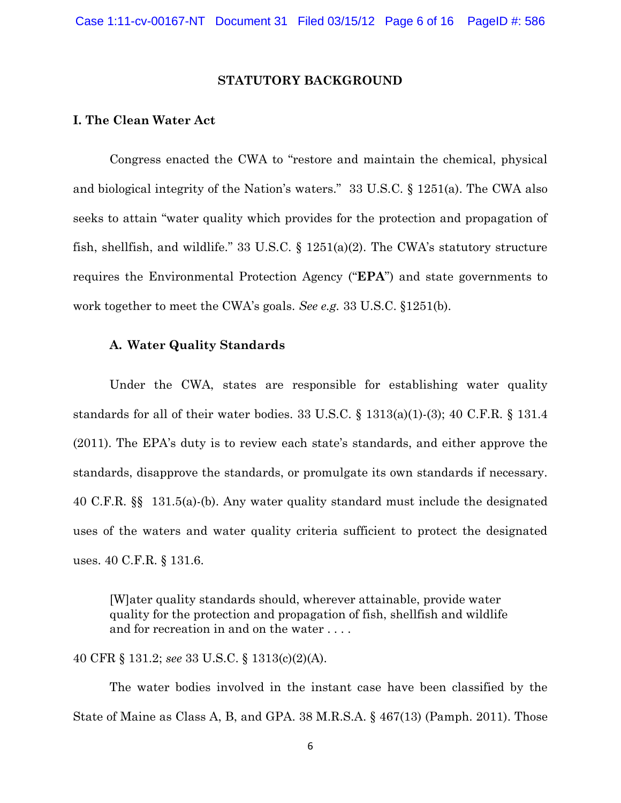### **STATUTORY BACKGROUND**

### **I. The Clean Water Act**

Congress enacted the CWA to "restore and maintain the chemical, physical and biological integrity of the Nation's waters." 33 U.S.C. § 1251(a). The CWA also seeks to attain "water quality which provides for the protection and propagation of fish, shellfish, and wildlife." 33 U.S.C. § 1251(a)(2). The CWA's statutory structure requires the Environmental Protection Agency ("**EPA**") and state governments to work together to meet the CWA's goals. *See e.g.* 33 U.S.C. §1251(b).

### **A. Water Quality Standards**

Under the CWA, states are responsible for establishing water quality standards for all of their water bodies.  $33 \text{ U.S.C.}$  §  $1313(a)(1)-(3)$ ;  $40 \text{ C.F.R.}$  §  $131.4$ (2011). The EPA's duty is to review each state's standards, and either approve the standards, disapprove the standards, or promulgate its own standards if necessary. 40 C.F.R. §§ 131.5(a)-(b). Any water quality standard must include the designated uses of the waters and water quality criteria sufficient to protect the designated uses. 40 C.F.R. § 131.6.

[W]ater quality standards should, wherever attainable, provide water quality for the protection and propagation of fish, shellfish and wildlife and for recreation in and on the water . . . .

40 CFR § 131.2; *see* 33 U.S.C. § 1313(c)(2)(A).

The water bodies involved in the instant case have been classified by the State of Maine as Class A, B, and GPA. 38 M.R.S.A. § 467(13) (Pamph. 2011). Those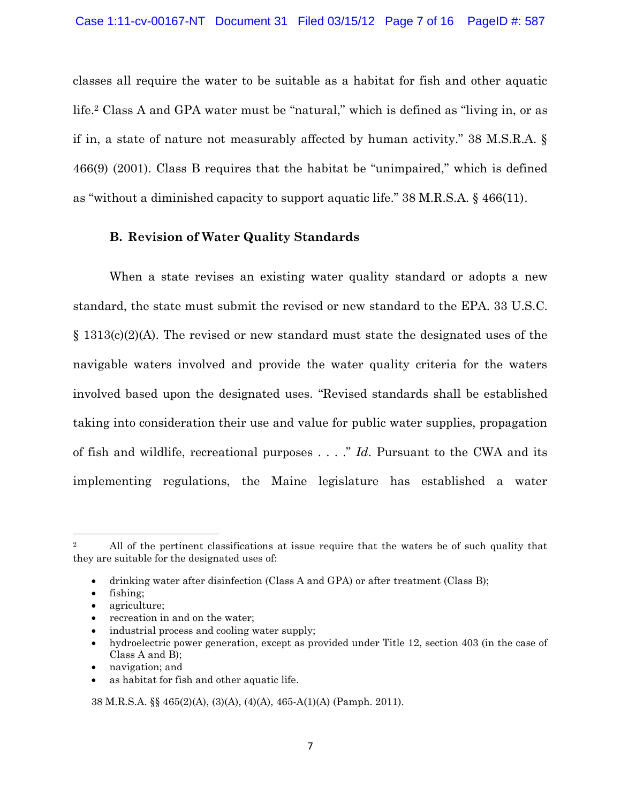classes all require the water to be suitable as a habitat for fish and other aquatic life. <sup>2</sup> Class A and GPA water must be "natural," which is defined as "living in, or as if in, a state of nature not measurably affected by human activity." 38 M.S.R.A. § 466(9) (2001). Class B requires that the habitat be "unimpaired," which is defined as "without a diminished capacity to support aquatic life." 38 M.R.S.A. § 466(11).

## **B. Revision of Water Quality Standards**

When a state revises an existing water quality standard or adopts a new standard, the state must submit the revised or new standard to the EPA. 33 U.S.C. § 1313(c)(2)(A). The revised or new standard must state the designated uses of the navigable waters involved and provide the water quality criteria for the waters involved based upon the designated uses. "Revised standards shall be established taking into consideration their use and value for public water supplies, propagation of fish and wildlife, recreational purposes . . . ." *Id*. Pursuant to the CWA and its implementing regulations, the Maine legislature has established a water

fishing;

l

- agriculture;
- recreation in and on the water;
- industrial process and cooling water supply;
- hydroelectric power generation, except as provided under Title 12, section 403 (in the case of Class A and B);
- navigation; and
- as habitat for fish and other aquatic life.

38 M.R.S.A. §§ 465(2)(A), (3)(A), (4)(A), 465-A(1)(A) (Pamph. 2011).

<sup>&</sup>lt;sup>2</sup> All of the pertinent classifications at issue require that the waters be of such quality that they are suitable for the designated uses of:

drinking water after disinfection (Class A and GPA) or after treatment (Class B);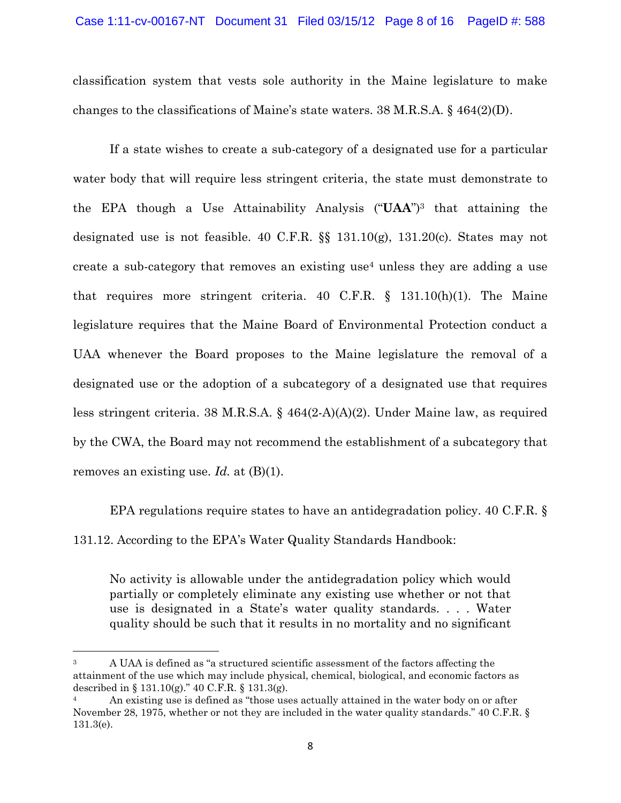classification system that vests sole authority in the Maine legislature to make changes to the classifications of Maine's state waters.  $38$  M.R.S.A.  $\S$  464(2)(D).

If a state wishes to create a sub-category of a designated use for a particular water body that will require less stringent criteria, the state must demonstrate to the EPA though a Use Attainability Analysis ("**UAA**")<sup>3</sup> that attaining the designated use is not feasible. 40 C.F.R. §§ 131.10(g), 131.20(c). States may not create a sub-category that removes an existing use<sup>4</sup> unless they are adding a use that requires more stringent criteria. 40 C.F.R. § 131.10(h)(1). The Maine legislature requires that the Maine Board of Environmental Protection conduct a UAA whenever the Board proposes to the Maine legislature the removal of a designated use or the adoption of a subcategory of a designated use that requires less stringent criteria. 38 M.R.S.A. § 464(2-A)(A)(2). Under Maine law, as required by the CWA, the Board may not recommend the establishment of a subcategory that removes an existing use. *Id.* at (B)(1).

EPA regulations require states to have an antidegradation policy. 40 C.F.R. § 131.12. According to the EPA's Water Quality Standards Handbook:

No activity is allowable under the antidegradation policy which would partially or completely eliminate any existing use whether or not that use is designated in a State's water quality standards. . . . Water quality should be such that it results in no mortality and no significant

 $\overline{\phantom{a}}$ 

<sup>&</sup>lt;sup>3</sup> A UAA is defined as "a structured scientific assessment of the factors affecting the attainment of the use which may include physical, chemical, biological, and economic factors as described in  $\S 131.10(g)$ ." 40 C.F.R.  $\S 131.3(g)$ .

<sup>4</sup> An existing use is defined as "those uses actually attained in the water body on or after November 28, 1975, whether or not they are included in the water quality standards." 40 C.F.R. § 131.3(e).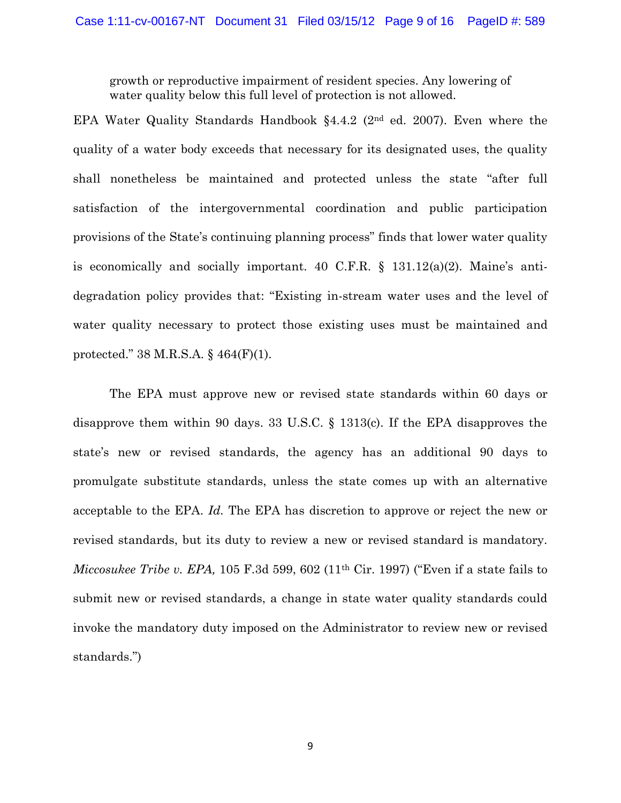growth or reproductive impairment of resident species. Any lowering of water quality below this full level of protection is not allowed.

EPA Water Quality Standards Handbook §4.4.2 (2nd ed. 2007). Even where the quality of a water body exceeds that necessary for its designated uses, the quality shall nonetheless be maintained and protected unless the state "after full satisfaction of the intergovernmental coordination and public participation provisions of the State's continuing planning process" finds that lower water quality is economically and socially important. 40 C.F.R. § 131.12(a)(2). Maine's antidegradation policy provides that: "Existing in-stream water uses and the level of water quality necessary to protect those existing uses must be maintained and protected." 38 M.R.S.A. § 464(F)(1).

The EPA must approve new or revised state standards within 60 days or disapprove them within 90 days. 33 U.S.C. § 1313(c). If the EPA disapproves the state's new or revised standards, the agency has an additional 90 days to promulgate substitute standards, unless the state comes up with an alternative acceptable to the EPA. *Id.* The EPA has discretion to approve or reject the new or revised standards, but its duty to review a new or revised standard is mandatory. *Miccosukee Tribe v. EPA,* 105 F.3d 599, 602 (11th Cir. 1997) ("Even if a state fails to submit new or revised standards, a change in state water quality standards could invoke the mandatory duty imposed on the Administrator to review new or revised standards.")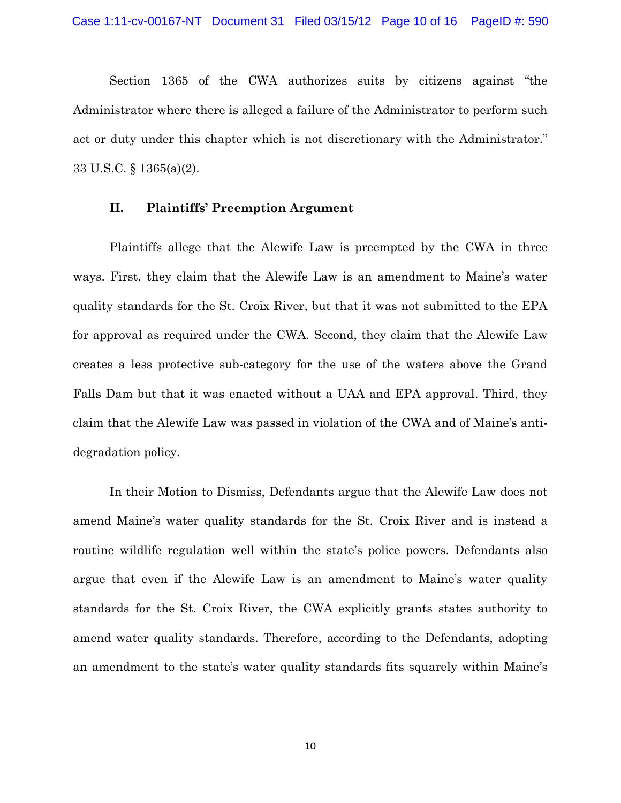Section 1365 of the CWA authorizes suits by citizens against "the Administrator where there is alleged a failure of the Administrator to perform such act or duty under this chapter which is not discretionary with the Administrator." 33 U.S.C. § 1365(a)(2).

### **II. Plaintiffs' Preemption Argument**

Plaintiffs allege that the Alewife Law is preempted by the CWA in three ways. First, they claim that the Alewife Law is an amendment to Maine's water quality standards for the St. Croix River, but that it was not submitted to the EPA for approval as required under the CWA. Second, they claim that the Alewife Law creates a less protective sub-category for the use of the waters above the Grand Falls Dam but that it was enacted without a UAA and EPA approval. Third, they claim that the Alewife Law was passed in violation of the CWA and of Maine's antidegradation policy.

In their Motion to Dismiss, Defendants argue that the Alewife Law does not amend Maine's water quality standards for the St. Croix River and is instead a routine wildlife regulation well within the state's police powers. Defendants also argue that even if the Alewife Law is an amendment to Maine's water quality standards for the St. Croix River, the CWA explicitly grants states authority to amend water quality standards. Therefore, according to the Defendants, adopting an amendment to the state's water quality standards fits squarely within Maine's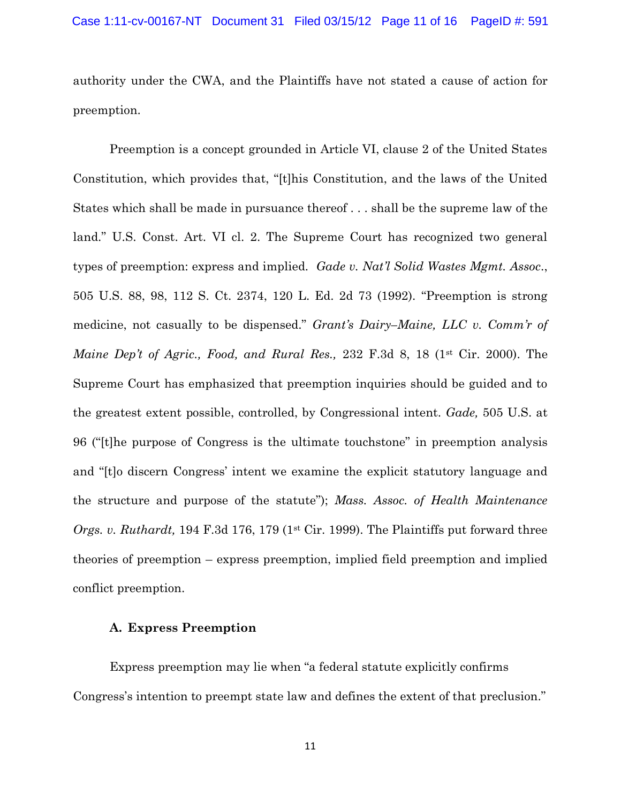authority under the CWA, and the Plaintiffs have not stated a cause of action for preemption.

Preemption is a concept grounded in Article VI, clause 2 of the United States Constitution, which provides that, "[t]his Constitution, and the laws of the United States which shall be made in pursuance thereof . . . shall be the supreme law of the land." U.S. Const. Art. VI cl. 2. The Supreme Court has recognized two general types of preemption: express and implied. *Gade v. Nat'l Solid Wastes Mgmt. Assoc*., 505 U.S. 88, 98, 112 S. Ct. 2374, 120 L. Ed. 2d 73 (1992). "Preemption is strong medicine, not casually to be dispensed." *Grant's Dairy–Maine, LLC v. Comm'r of Maine Dep't of Agric., Food, and Rural Res.,* 232 F.3d 8, 18 (1<sup>st</sup> Cir. 2000). The Supreme Court has emphasized that preemption inquiries should be guided and to the greatest extent possible, controlled, by Congressional intent. *Gade,* 505 U.S. at 96 ("[t]he purpose of Congress is the ultimate touchstone" in preemption analysis and "[t]o discern Congress' intent we examine the explicit statutory language and the structure and purpose of the statute"); *Mass. Assoc. of Health Maintenance Orgs. v. Ruthardt,* 194 F.3d 176, 179 (1<sup>st</sup> Cir. 1999). The Plaintiffs put forward three theories of preemption – express preemption, implied field preemption and implied conflict preemption.

### **A. Express Preemption**

Express preemption may lie when "a federal statute explicitly confirms Congress's intention to preempt state law and defines the extent of that preclusion."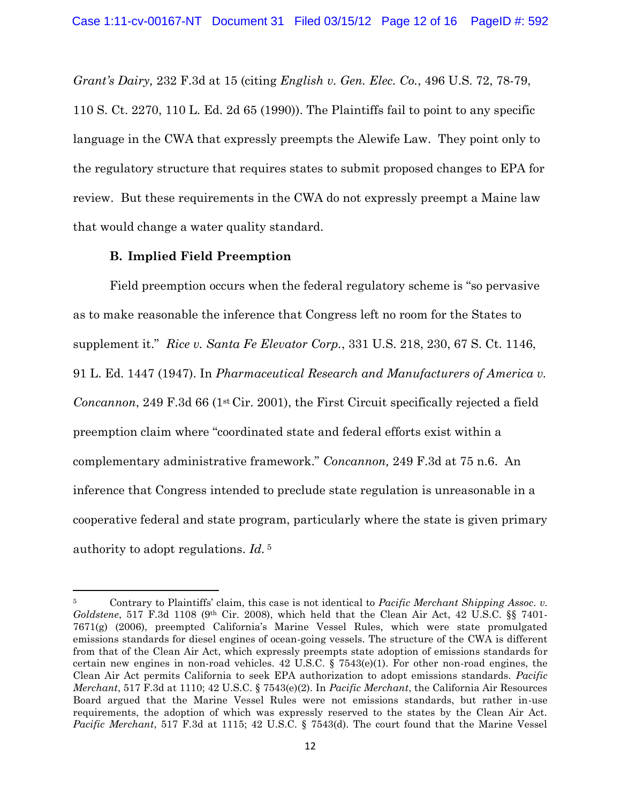*Grant's Dairy,* 232 F.3d at 15 (citing *English v. Gen. Elec. Co.*, 496 U.S. 72, 78-79, 110 S. Ct. 2270, 110 L. Ed. 2d 65 (1990)). The Plaintiffs fail to point to any specific language in the CWA that expressly preempts the Alewife Law. They point only to the regulatory structure that requires states to submit proposed changes to EPA for review. But these requirements in the CWA do not expressly preempt a Maine law that would change a water quality standard.

## **B. Implied Field Preemption**

 $\overline{\phantom{a}}$ 

Field preemption occurs when the federal regulatory scheme is "so pervasive as to make reasonable the inference that Congress left no room for the States to supplement it." *Rice v. Santa Fe Elevator Corp.*, 331 U.S. 218, 230, 67 S. Ct. 1146, 91 L. Ed. 1447 (1947). In *Pharmaceutical Research and Manufacturers of America v. Concannon*, 249 F.3d 66 (1<sup>st</sup> Cir. 2001), the First Circuit specifically rejected a field preemption claim where "coordinated state and federal efforts exist within a complementary administrative framework." *Concannon,* 249 F.3d at 75 n.6. An inference that Congress intended to preclude state regulation is unreasonable in a cooperative federal and state program, particularly where the state is given primary authority to adopt regulations. *Id.* 5

<sup>5</sup> Contrary to Plaintiffs' claim, this case is not identical to *Pacific Merchant Shipping Assoc. v. Goldstene*, 517 F.3d 1108 (9th Cir. 2008), which held that the Clean Air Act, 42 U.S.C. §§ 7401- 7671(g) (2006), preempted California's Marine Vessel Rules, which were state promulgated emissions standards for diesel engines of ocean-going vessels. The structure of the CWA is different from that of the Clean Air Act, which expressly preempts state adoption of emissions standards for certain new engines in non-road vehicles.  $42 \text{ U.S.C. }$  §  $7543(e)(1)$ . For other non-road engines, the Clean Air Act permits California to seek EPA authorization to adopt emissions standards. *Pacific Merchant*, 517 F.3d at 1110; 42 U.S.C. § 7543(e)(2). In *Pacific Merchant*, the California Air Resources Board argued that the Marine Vessel Rules were not emissions standards, but rather in-use requirements, the adoption of which was expressly reserved to the states by the Clean Air Act. *Pacific Merchant*, 517 F.3d at 1115; 42 U.S.C. § 7543(d). The court found that the Marine Vessel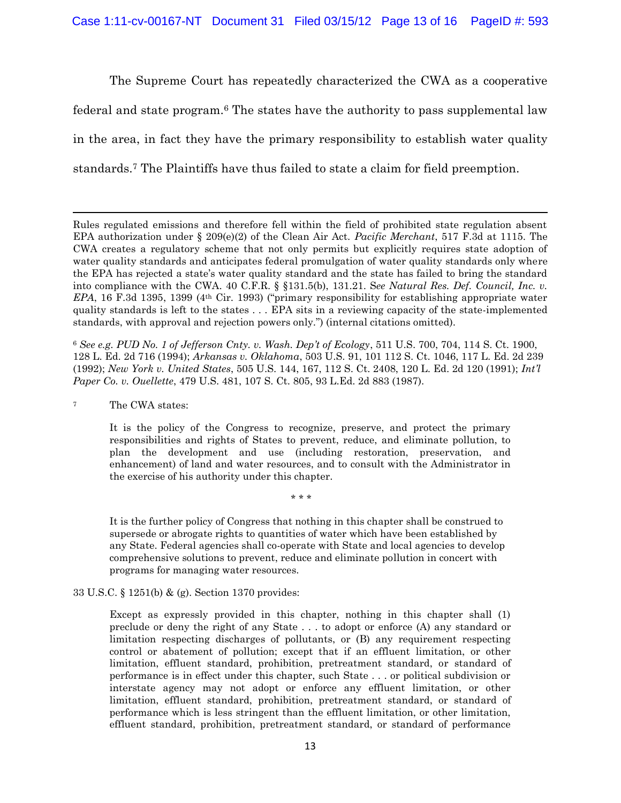The Supreme Court has repeatedly characterized the CWA as a cooperative federal and state program.<sup>6</sup> The states have the authority to pass supplemental law in the area, in fact they have the primary responsibility to establish water quality standards.<sup>7</sup> The Plaintiffs have thus failed to state a claim for field preemption.

Rules regulated emissions and therefore fell within the field of prohibited state regulation absent EPA authorization under § 209(e)(2) of the Clean Air Act. *Pacific Merchant*, 517 F.3d at 1115. The CWA creates a regulatory scheme that not only permits but explicitly requires state adoption of water quality standards and anticipates federal promulgation of water quality standards only where the EPA has rejected a state's water quality standard and the state has failed to bring the standard into compliance with the CWA. 40 C.F.R. § §131.5(b), 131.21. S*ee Natural Res. Def. Council, Inc. v. EPA*, 16 F.3d 1395, 1399 (4th Cir. 1993) ("primary responsibility for establishing appropriate water quality standards is left to the states . . . EPA sits in a reviewing capacity of the state-implemented standards, with approval and rejection powers only.") (internal citations omitted).

<sup>6</sup> *See e.g. PUD No. 1 of Jefferson Cnty. v. Wash. Dep't of Ecology*, 511 U.S. 700, 704, 114 S. Ct. 1900, 128 L. Ed. 2d 716 (1994); *Arkansas v. Oklahoma*, 503 U.S. 91, 101 112 S. Ct. 1046, 117 L. Ed. 2d 239 (1992); *New York v. United States*, 505 U.S. 144, 167, 112 S. Ct. 2408, 120 L. Ed. 2d 120 (1991); *Int'l Paper Co. v. Ouellette*, 479 U.S. 481, 107 S. Ct. 805, 93 L.Ed. 2d 883 (1987).

<sup>7</sup> The CWA states:

 $\overline{\phantom{a}}$ 

It is the policy of the Congress to recognize, preserve, and protect the primary responsibilities and rights of States to prevent, reduce, and eliminate pollution, to plan the development and use (including restoration, preservation, and enhancement) of land and water resources, and to consult with the Administrator in the exercise of his authority under this chapter.

\* \* \*

It is the further policy of Congress that nothing in this chapter shall be construed to supersede or abrogate rights to quantities of water which have been established by any State. Federal agencies shall co-operate with State and local agencies to develop comprehensive solutions to prevent, reduce and eliminate pollution in concert with programs for managing water resources.

#### 33 U.S.C. § 1251(b) & (g). Section 1370 provides:

Except as expressly provided in this chapter, nothing in this chapter shall (1) preclude or deny the right of any State . . . to adopt or enforce (A) any standard or limitation respecting discharges of pollutants, or (B) any requirement respecting control or abatement of pollution; except that if an effluent limitation, or other limitation, effluent standard, prohibition, pretreatment standard, or standard of performance is in effect under this chapter, such State . . . or political subdivision or interstate agency may not adopt or enforce any effluent limitation, or other limitation, effluent standard, prohibition, pretreatment standard, or standard of performance which is less stringent than the effluent limitation, or other limitation, effluent standard, prohibition, pretreatment standard, or standard of performance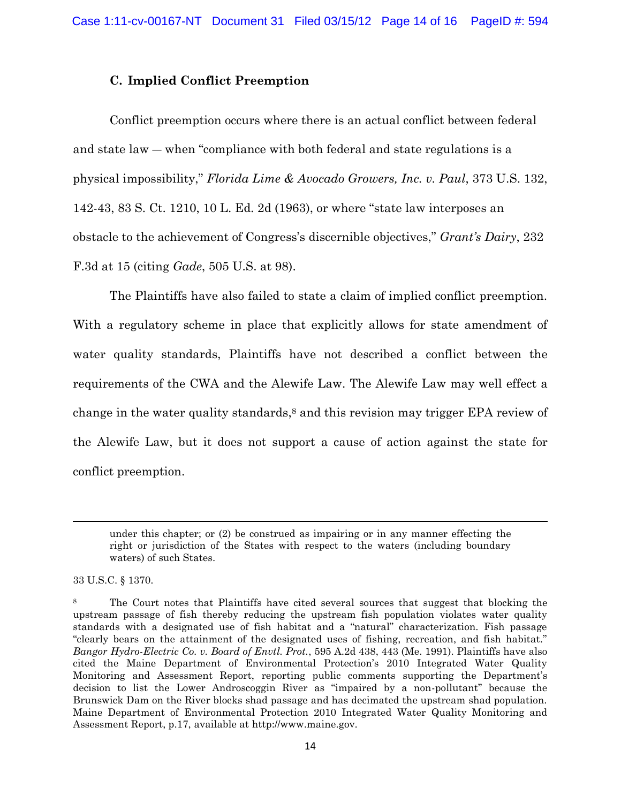### **C. Implied Conflict Preemption**

Conflict preemption occurs where there is an actual conflict between federal and state law ― when "compliance with both federal and state regulations is a physical impossibility," *Florida Lime & Avocado Growers, Inc. v. Paul*, 373 U.S. 132, 142-43, 83 S. Ct. 1210, 10 L. Ed. 2d (1963), or where "state law interposes an obstacle to the achievement of Congress's discernible objectives," *Grant's Dairy*, 232 F.3d at 15 (citing *Gade*, 505 U.S. at 98).

The Plaintiffs have also failed to state a claim of implied conflict preemption. With a regulatory scheme in place that explicitly allows for state amendment of water quality standards, Plaintiffs have not described a conflict between the requirements of the CWA and the Alewife Law. The Alewife Law may well effect a change in the water quality standards, <sup>8</sup> and this revision may trigger EPA review of the Alewife Law, but it does not support a cause of action against the state for conflict preemption.

33 U.S.C. § 1370.

 $\overline{a}$ 

under this chapter; or (2) be construed as impairing or in any manner effecting the right or jurisdiction of the States with respect to the waters (including boundary waters) of such States.

<sup>&</sup>lt;sup>8</sup> The Court notes that Plaintiffs have cited several sources that suggest that blocking the upstream passage of fish thereby reducing the upstream fish population violates water quality standards with a designated use of fish habitat and a "natural" characterization. Fish passage "clearly bears on the attainment of the designated uses of fishing, recreation, and fish habitat." *Bangor Hydro-Electric Co. v. Board of Envtl. Prot.*, 595 A.2d 438, 443 (Me. 1991). Plaintiffs have also cited the Maine Department of Environmental Protection's 2010 Integrated Water Quality Monitoring and Assessment Report, reporting public comments supporting the Department's decision to list the Lower Androscoggin River as "impaired by a non-pollutant" because the Brunswick Dam on the River blocks shad passage and has decimated the upstream shad population. Maine Department of Environmental Protection 2010 Integrated Water Quality Monitoring and Assessment Report, p.17, available at http://www.maine.gov.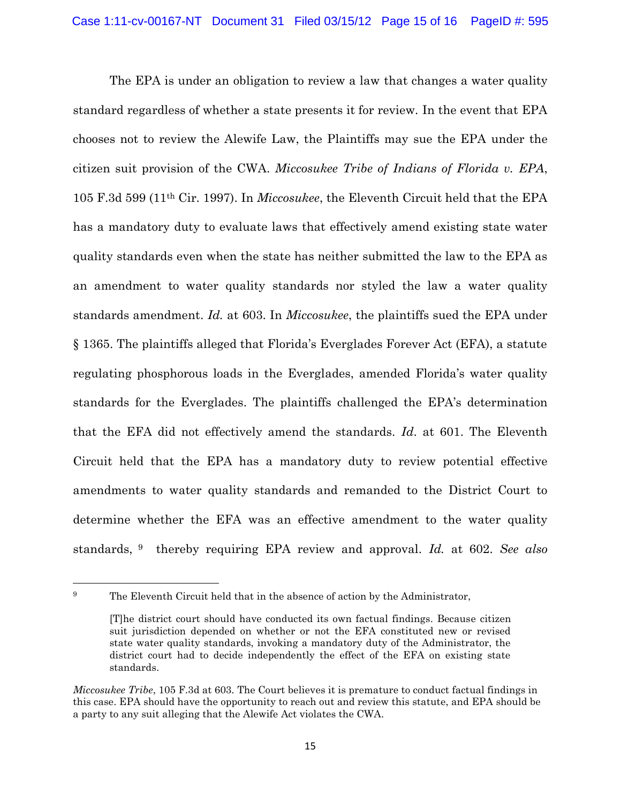The EPA is under an obligation to review a law that changes a water quality standard regardless of whether a state presents it for review. In the event that EPA chooses not to review the Alewife Law, the Plaintiffs may sue the EPA under the citizen suit provision of the CWA. *Miccosukee Tribe of Indians of Florida v. EPA*, 105 F.3d 599 (11th Cir. 1997). In *Miccosukee*, the Eleventh Circuit held that the EPA has a mandatory duty to evaluate laws that effectively amend existing state water quality standards even when the state has neither submitted the law to the EPA as an amendment to water quality standards nor styled the law a water quality standards amendment. *Id.* at 603. In *Miccosukee*, the plaintiffs sued the EPA under § 1365. The plaintiffs alleged that Florida's Everglades Forever Act (EFA), a statute regulating phosphorous loads in the Everglades, amended Florida's water quality standards for the Everglades. The plaintiffs challenged the EPA's determination that the EFA did not effectively amend the standards. *Id*. at 601. The Eleventh Circuit held that the EPA has a mandatory duty to review potential effective amendments to water quality standards and remanded to the District Court to determine whether the EFA was an effective amendment to the water quality standards, <sup>9</sup> thereby requiring EPA review and approval. *Id.* at 602. *See also*

 $\overline{\phantom{a}}$ 

<sup>&</sup>lt;sup>9</sup> The Eleventh Circuit held that in the absence of action by the Administrator,

<sup>[</sup>T]he district court should have conducted its own factual findings. Because citizen suit jurisdiction depended on whether or not the EFA constituted new or revised state water quality standards, invoking a mandatory duty of the Administrator, the district court had to decide independently the effect of the EFA on existing state standards.

*Miccosukee Tribe*, 105 F.3d at 603. The Court believes it is premature to conduct factual findings in this case. EPA should have the opportunity to reach out and review this statute, and EPA should be a party to any suit alleging that the Alewife Act violates the CWA.